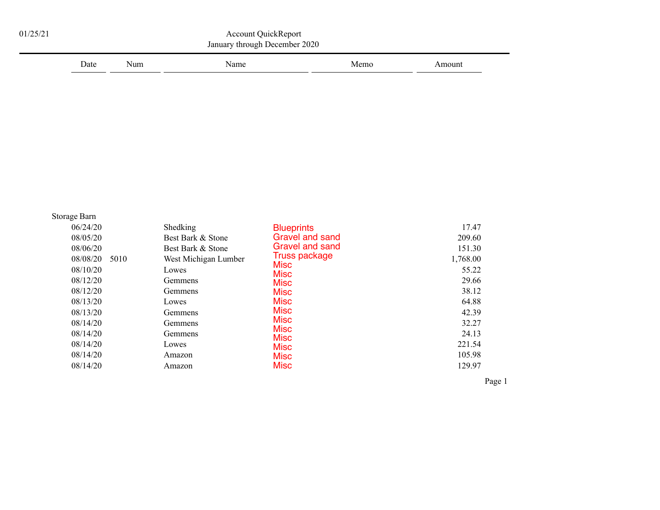| Date                                                                                                         | Num  | Name                                                                                                                                     |                                                                                                                                                                                                                | Memo | Amount                                                                                      |
|--------------------------------------------------------------------------------------------------------------|------|------------------------------------------------------------------------------------------------------------------------------------------|----------------------------------------------------------------------------------------------------------------------------------------------------------------------------------------------------------------|------|---------------------------------------------------------------------------------------------|
|                                                                                                              |      |                                                                                                                                          |                                                                                                                                                                                                                |      |                                                                                             |
| Storage Barn<br>06/24/20<br>08/05/20<br>08/06/20<br>08/08/20<br>08/10/20<br>08/12/20<br>08/12/20<br>08/13/20 | 5010 | Shedking<br>Best Bark & Stone<br>Best Bark & Stone<br>West Michigan Lumber<br>Lowes<br>Gemmens<br>Gemmens<br>Lowes<br>Gemmens<br>Gemmens | <b>Blueprints</b><br>Gravel and sand<br><b>Gravel and sand</b><br><b>Truss package</b><br><b>Misc</b><br><b>Misc</b><br><b>Misc</b><br><b>Misc</b><br><b>Misc</b><br><b>Misc</b><br><b>Misc</b><br><b>Misc</b> |      | 17.47<br>209.60<br>151.30<br>1,768.00<br>55.22<br>29.66<br>38.12<br>64.88<br>42.39<br>32.27 |
| 08/13/20<br>08/14/20<br>08/14/20<br>08/14/20                                                                 |      | Gemmens<br>Lowes                                                                                                                         | <b>Misc</b>                                                                                                                                                                                                    |      | 24.13<br>221.54                                                                             |

Page 1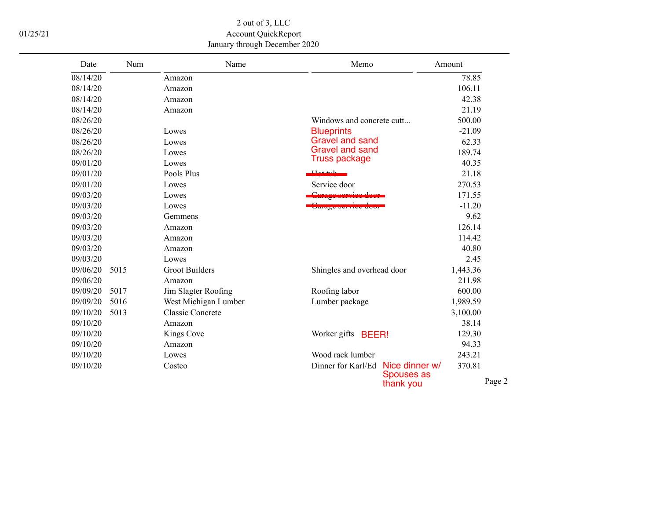2 out of 3, LLC 01/25/21 Account QuickReport January through December 2020

| Date     | Num  | Name                    | Memo                                       | Amount   |
|----------|------|-------------------------|--------------------------------------------|----------|
| 08/14/20 |      | Amazon                  |                                            | 78.85    |
| 08/14/20 |      | Amazon                  |                                            | 106.11   |
| 08/14/20 |      | Amazon                  |                                            | 42.38    |
| 08/14/20 |      | Amazon                  |                                            | 21.19    |
| 08/26/20 |      |                         | Windows and concrete cutt                  | 500.00   |
| 08/26/20 |      | Lowes                   | <b>Blueprints</b>                          | $-21.09$ |
| 08/26/20 |      | Lowes                   | <b>Gravel and sand</b>                     | 62.33    |
| 08/26/20 |      | Lowes                   | <b>Gravel and sand</b>                     | 189.74   |
| 09/01/20 |      | Lowes                   | <b>Truss package</b>                       | 40.35    |
| 09/01/20 |      | Pools Plus              |                                            | 21.18    |
| 09/01/20 |      | Lowes                   | Service door                               | 270.53   |
| 09/03/20 |      | Lowes                   | $C_{\alpha}$ $\alpha \alpha \alpha \gamma$ | 171.55   |
| 09/03/20 |      | Lowes                   | $\frac{1}{2}$                              | $-11.20$ |
| 09/03/20 |      | Gemmens                 |                                            | 9.62     |
| 09/03/20 |      | Amazon                  |                                            | 126.14   |
| 09/03/20 |      | Amazon                  |                                            | 114.42   |
| 09/03/20 |      | Amazon                  |                                            | 40.80    |
| 09/03/20 |      | Lowes                   |                                            | 2.45     |
| 09/06/20 | 5015 | <b>Groot Builders</b>   | Shingles and overhead door                 | 1,443.36 |
| 09/06/20 |      | Amazon                  |                                            | 211.98   |
| 09/09/20 | 5017 | Jim Slagter Roofing     | Roofing labor                              | 600.00   |
| 09/09/20 | 5016 | West Michigan Lumber    | Lumber package                             | 1,989.59 |
| 09/10/20 | 5013 | <b>Classic Concrete</b> |                                            | 3,100.00 |
| 09/10/20 |      | Amazon                  |                                            | 38.14    |
| 09/10/20 |      | Kings Cove              | Worker gifts <b>BEER!</b>                  | 129.30   |
| 09/10/20 |      | Amazon                  |                                            | 94.33    |
| 09/10/20 |      | Lowes                   | Wood rack lumber                           | 243.21   |
| 09/10/20 |      | Costco                  | Dinner for Karl/Ed<br>Nice dinner w/       | 370.81   |
|          |      |                         | <b>Spouses as</b><br>thank you             |          |